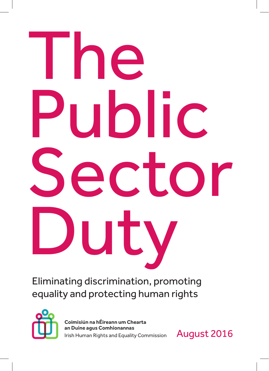# **I** he Public Sector Duty

Eliminating discrimination, promoting equality and protecting human rights



Coimisiún na hÉireann um Chearta an Duine agus Comhionannas Irish Human Rights and Equality Commission

August 2016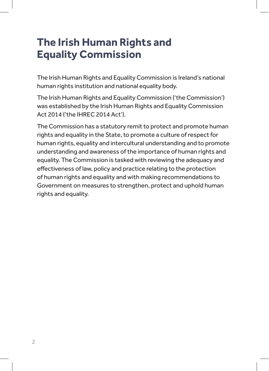## **The Irish Human Rights and Equality Commission**

The Irish Human Rights and Equality Commission is Ireland's national human rights institution and national equality body.

The Irish Human Rights and Equality Commission ('the Commission') was established by the Irish Human Rights and Equality Commission Act 2014 ('the IHREC 2014 Act').

The Commission has a statutory remit to protect and promote human rights and equality in the State, to promote a culture of respect for human rights, equality and intercultural understanding and to promote understanding and awareness of the importance of human rights and equality. The Commission is tasked with reviewing the adequacy and effectiveness of law, policy and practice relating to the protection of human rights and equality and with making recommendations to Government on measures to strengthen, protect and uphold human rights and equality.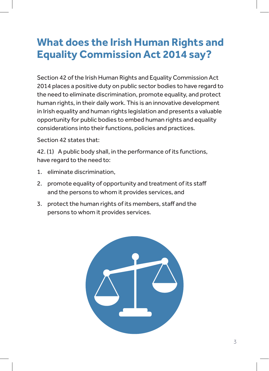## **What does the Irish Human Rights and Equality Commission Act 2014 say?**

Section 42 of the Irish Human Rights and Equality Commission Act 2014 places a positive duty on public sector bodies to have regard to the need to eliminate discrimination, promote equality, and protect human rights, in their daily work. This is an innovative development in Irish equality and human rights legislation and presents a valuable opportunity for public bodies to embed human rights and equality considerations into their functions, policies and practices.

Section 42 states that:

42. (1) A public body shall, in the performance of its functions, have regard to the need to:

- 1. eliminate discrimination,
- 2. promote equality of opportunity and treatment of its staff and the persons to whom it provides services, and
- 3. protect the human rights of its members, staff and the persons to whom it provides services.

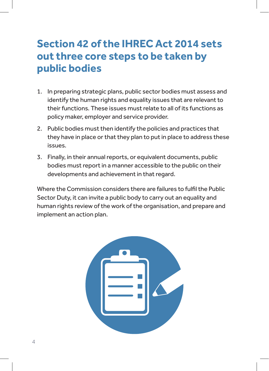## **Section 42 of the IHREC Act 2014 sets out three core steps to be taken by public bodies**

- 1. In preparing strategic plans, public sector bodies must assess and identify the human rights and equality issues that are relevant to their functions. These issues must relate to all of its functions as policy maker, employer and service provider.
- 2. Public bodies must then identify the policies and practices that they have in place or that they plan to put in place to address these issues.
- 3. Finally, in their annual reports, or equivalent documents, public bodies must report in a manner accessible to the public on their developments and achievement in that regard.

Where the Commission considers there are failures to fulfil the Public Sector Duty, it can invite a public body to carry out an equality and human rights review of the work of the organisation, and prepare and implement an action plan.

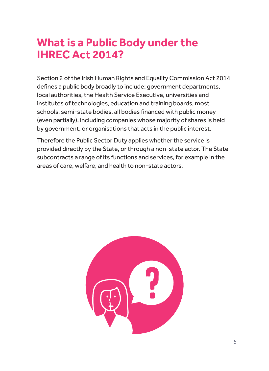## **What is a Public Body under the IHREC Act 2014?**

Section 2 of the Irish Human Rights and Equality Commission Act 2014 defines a public body broadly to include; government departments, local authorities, the Health Service Executive, universities and institutes of technologies, education and training boards, most schools, semi-state bodies, all bodies financed with public money (even partially), including companies whose majority of shares is held by government, or organisations that acts in the public interest.

Therefore the Public Sector Duty applies whether the service is provided directly by the State, or through a non-state actor. The State subcontracts a range of its functions and services, for example in the areas of care, welfare, and health to non-state actors.

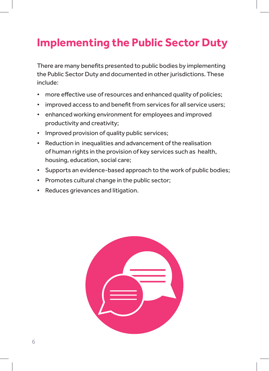## **Implementing the Public Sector Duty**

There are many benefits presented to public bodies by implementing the Public Sector Duty and documented in other jurisdictions. These include:

- more effective use of resources and enhanced quality of policies;
- improved access to and benefit from services for all service users;
- enhanced working environment for employees and improved productivity and creativity;
- Improved provision of quality public services;
- Reduction in inequalities and advancement of the realisation of human rights in the provision of key services such as health, housing, education, social care;
- Supports an evidence-based approach to the work of public bodies;
- Promotes cultural change in the public sector;
- Reduces grievances and litigation.

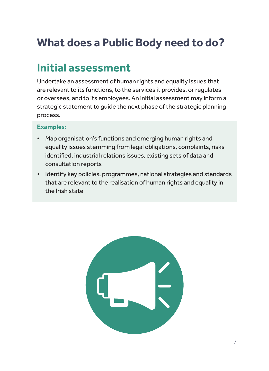# **What does a Public Body need to do?**

## **Initial assessment**

Undertake an assessment of human rights and equality issues that are relevant to its functions, to the services it provides, or regulates or oversees, and to its employees. An initial assessment may inform a strategic statement to guide the next phase of the strategic planning process.

- Map organisation's functions and emerging human rights and equality issues stemming from legal obligations, complaints, risks identified, industrial relations issues, existing sets of data and consultation reports
- Identify key policies, programmes, national strategies and standards that are relevant to the realisation of human rights and equality in the Irish state

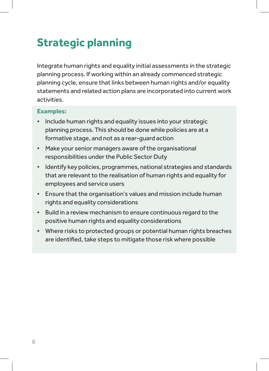## **Strategic planning**

Integrate human rights and equality initial assessments in the strategic planning process. If working within an already commenced strategic planning cycle, ensure that links between human rights and/or equality statements and related action plans are incorporated into current work activities.

- Include human rights and equality issues into your strategic planning process. This should be done while policies are at a formative stage, and not as a rear-guard action
- Make your senior managers aware of the organisational responsibilities under the Public Sector Duty
- Identify key policies, programmes, national strategies and standards that are relevant to the realisation of human rights and equality for employees and service users
- Ensure that the organisation's values and mission include human rights and equality considerations
- Build in a review mechanism to ensure continuous regard to the positive human rights and equality considerations
- Where risks to protected groups or potential human rights breaches are identified, take steps to mitigate those risk where possible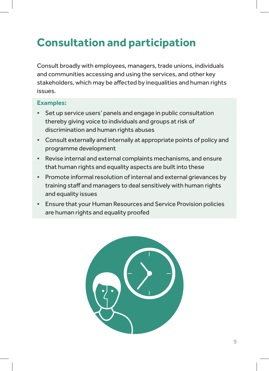## **Consultation and participation**

Consult broadly with employees, managers, trade unions, individuals and communities accessing and using the services, and other key stakeholders, which may be affected by inequalities and human rights issues.

- Set up service users' panels and engage in public consultation thereby giving voice to individuals and groups at risk of discrimination and human rights abuses
- Consult externally and internally at appropriate points of policy and programme development
- Revise internal and external complaints mechanisms, and ensure that human rights and equality aspects are built into these
- Promote informal resolution of internal and external grievances by training staff and managers to deal sensitively with human rights and equality issues
- Ensure that your Human Resources and Service Provision policies are human rights and equality proofed

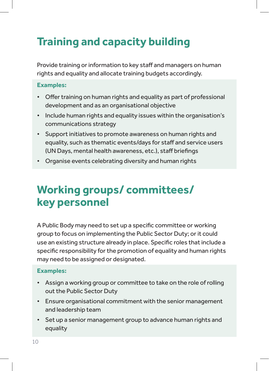# **Training and capacity building**

Provide training or information to key staff and managers on human rights and equality and allocate training budgets accordingly.

#### **Examples:**

- Offer training on human rights and equality as part of professional development and as an organisational objective
- Include human rights and equality issues within the organisation's communications strategy
- Support initiatives to promote awareness on human rights and equality, such as thematic events/days for staff and service users (UN Days, mental health awareness, etc.), staff briefings
- Organise events celebrating diversity and human rights

## **Working groups/ committees/ key personnel**

A Public Body may need to set up a specific committee or working group to focus on implementing the Public Sector Duty; or it could use an existing structure already in place. Specific roles that include a specific responsibility for the promotion of equality and human rights may need to be assigned or designated.

- Assign a working group or committee to take on the role of rolling out the Public Sector Duty
- Ensure organisational commitment with the senior management and leadership team
- Set up a senior management group to advance human rights and equality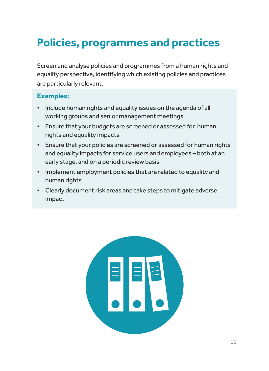## **Policies, programmes and practices**

Screen and analyse policies and programmes from a human rights and equality perspective, identifying which existing policies and practices are particularly relevant.

- Include human rights and equality issues on the agenda of all working groups and senior management meetings
- Ensure that your budgets are screened or assessed for human rights and equality impacts
- Ensure that your policies are screened or assessed for human rights and equality impacts for service users and employees – both at an early stage, and on a periodic review basis
- Implement employment policies that are related to equality and human rights
- Clearly document risk areas and take steps to mitigate adverse impact

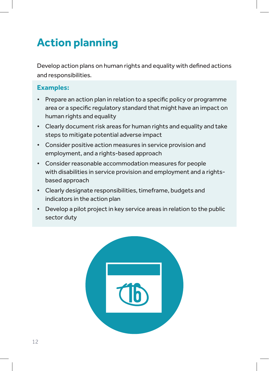# **Action planning**

Develop action plans on human rights and equality with defined actions and responsibilities.

- Prepare an action plan in relation to a specific policy or programme area or a specific regulatory standard that might have an impact on human rights and equality
- Clearly document risk areas for human rights and equality and take steps to mitigate potential adverse impact
- Consider positive action measures in service provision and employment, and a rights-based approach
- Consider reasonable accommodation measures for people with disabilities in service provision and employment and a rightsbased approach
- Clearly designate responsibilities, timeframe, budgets and indicators in the action plan
- Develop a pilot project in key service areas in relation to the public sector duty

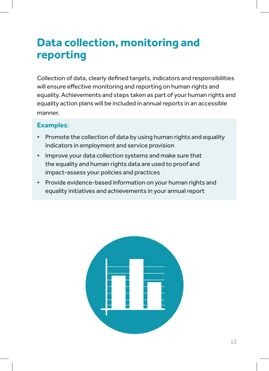## **Data collection, monitoring and reporting**

Collection of data, clearly defined targets, indicators and responsibilities will ensure effective monitoring and reporting on human rights and equality. Achievements and steps taken as part of your human rights and equality action plans will be included in annual reports in an accessible manner.

- Promote the collection of data by using human rights and equality indicators in employment and service provision
- Improve your data collection systems and make sure that the equality and human rights data are used to proof and impact-assess your policies and practices
- Provide evidence-based information on your human rights and equality initiatives and achievements in your annual report

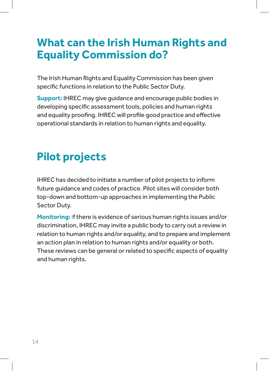## **What can the Irish Human Rights and Equality Commission do?**

The Irish Human Rights and Equality Commission has been given specific functions in relation to the Public Sector Duty.

**Support:** IHREC may give guidance and encourage public bodies in developing specific assessment tools, policies and human rights and equality proofing. IHREC will profile good practice and effective operational standards in relation to human rights and equality.

## **Pilot projects**

IHREC has decided to initiate a number of pilot projects to inform future guidance and codes of practice. Pilot sites will consider both top-down and bottom-up approaches in implementing the Public Sector Duty.

**Monitoring:** If there is evidence of serious human rights issues and/or discrimination, IHREC may invite a public body to carry out a review in relation to human rights and/or equality, and to prepare and implement an action plan in relation to human rights and/or equality or both. These reviews can be general or related to specific aspects of equality and human rights.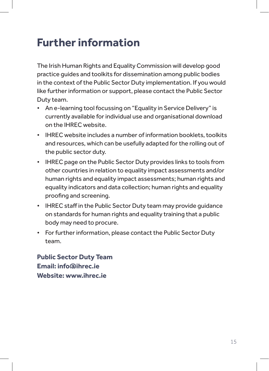## **Further information**

The Irish Human Rights and Equality Commission will develop good practice guides and toolkits for dissemination among public bodies in the context of the Public Sector Duty implementation. If you would like further information or support, please contact the Public Sector Duty team.

- An e-learning tool focussing on "Equality in Service Delivery" is currently available for individual use and organisational download on the IHREC website.
- IHREC website includes a number of information booklets, toolkits and resources, which can be usefully adapted for the rolling out of the public sector duty.
- IHREC page on the Public Sector Duty provides links to tools from other countries in relation to equality impact assessments and/or human rights and equality impact assessments; human rights and equality indicators and data collection; human rights and equality proofing and screening.
- IHREC staff in the Public Sector Duty team may provide guidance on standards for human rights and equality training that a public body may need to procure.
- For further information, please contact the Public Sector Duty team.

**Public Sector Duty Team Email: info@ihrec.ie Website: www.ihrec.ie**